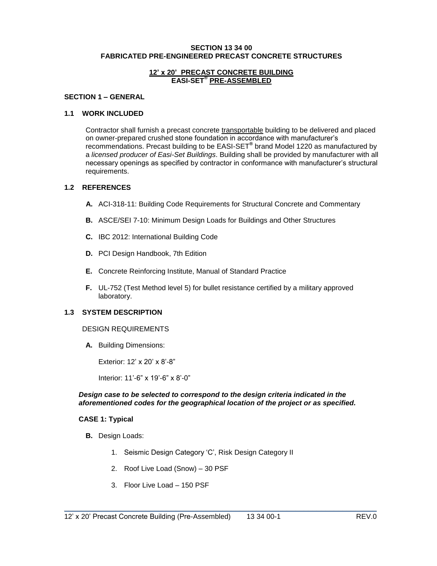#### **SECTION 13 34 00 FABRICATED PRE-ENGINEERED PRECAST CONCRETE STRUCTURES**

### **12' x 20' PRECAST CONCRETE BUILDING EASI-SET® PRE-ASSEMBLED**

#### **SECTION 1 – GENERAL**

### **1.1 WORK INCLUDED**

Contractor shall furnish a precast concrete transportable building to be delivered and placed on owner-prepared crushed stone foundation in accordance with manufacturer's recommendations. Precast building to be EASI-SET**®** brand Model 1220 as manufactured by a *licensed producer of Easi-Set Buildings*. Building shall be provided by manufacturer with all necessary openings as specified by contractor in conformance with manufacturer's structural requirements.

#### **1.2 REFERENCES**

- **A.** ACI-318-11: Building Code Requirements for Structural Concrete and Commentary
- **B.** ASCE/SEI 7-10: Minimum Design Loads for Buildings and Other Structures
- **C.** IBC 2012: International Building Code
- **D.** PCI Design Handbook, 7th Edition
- **E.** Concrete Reinforcing Institute, Manual of Standard Practice
- **F.** UL-752 (Test Method level 5) for bullet resistance certified by a military approved laboratory.

#### **1.3 SYSTEM DESCRIPTION**

#### DESIGN REQUIREMENTS

**A.** Building Dimensions:

Exterior: 12' x 20' x 8'-8"

Interior: 11'-6" x 19'-6" x 8'-0"

#### *Design case to be selected to correspond to the design criteria indicated in the aforementioned codes for the geographical location of the project or as specified.*

\_\_\_\_\_\_\_\_\_\_\_\_\_\_\_\_\_\_\_\_\_\_\_\_\_\_\_\_\_\_\_\_\_\_\_\_\_\_\_\_\_\_\_\_\_\_\_\_\_\_\_\_\_\_\_\_\_\_\_\_\_\_\_\_\_\_\_\_\_\_\_\_\_

#### **CASE 1: Typical**

- **B.** Design Loads:
	- 1. Seismic Design Category 'C', Risk Design Category II
	- 2. Roof Live Load (Snow) 30 PSF
	- 3. Floor Live Load 150 PSF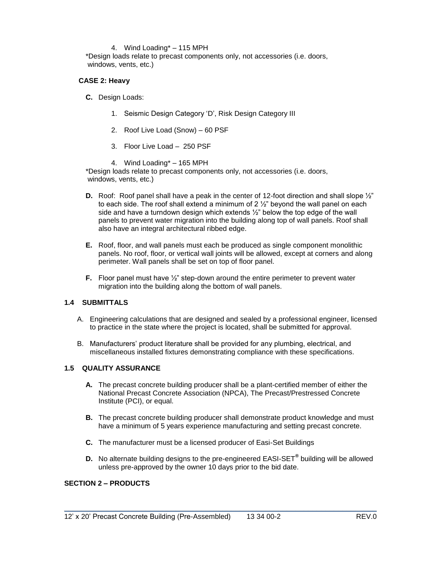### 4. Wind Loading\* – 115 MPH

\*Design loads relate to precast components only, not accessories (i.e. doors, windows, vents, etc.)

## **CASE 2: Heavy**

**C.** Design Loads:

- 1. Seismic Design Category 'D', Risk Design Category III
- 2. Roof Live Load (Snow) 60 PSF
- 3. Floor Live Load 250 PSF
- 4. Wind Loading\* 165 MPH

\*Design loads relate to precast components only, not accessories (i.e. doors, windows, vents, etc.)

- **D.** Roof: Roof panel shall have a peak in the center of 12-foot direction and shall slope  $\frac{1}{2}$ " to each side. The roof shall extend a minimum of  $2\frac{1}{2}$ " beyond the wall panel on each side and have a turndown design which extends  $\frac{1}{2}$ " below the top edge of the wall panels to prevent water migration into the building along top of wall panels. Roof shall also have an integral architectural ribbed edge.
- **E.** Roof, floor, and wall panels must each be produced as single component monolithic panels. No roof, floor, or vertical wall joints will be allowed, except at corners and along perimeter. Wall panels shall be set on top of floor panel.
- **F.** Floor panel must have  $\frac{1}{2}$ " step-down around the entire perimeter to prevent water migration into the building along the bottom of wall panels.

## **1.4 SUBMITTALS**

- A. Engineering calculations that are designed and sealed by a professional engineer, licensed to practice in the state where the project is located, shall be submitted for approval.
- B. Manufacturers' product literature shall be provided for any plumbing, electrical, and miscellaneous installed fixtures demonstrating compliance with these specifications.

#### **1.5 QUALITY ASSURANCE**

- **A.** The precast concrete building producer shall be a plant-certified member of either the National Precast Concrete Association (NPCA), The Precast/Prestressed Concrete Institute (PCI), or equal.
- **B.** The precast concrete building producer shall demonstrate product knowledge and must have a minimum of 5 years experience manufacturing and setting precast concrete.
- **C.** The manufacturer must be a licensed producer of Easi-Set Buildings
- **D.** No alternate building designs to the pre-engineered EASI-SET**®** building will be allowed unless pre-approved by the owner 10 days prior to the bid date.

\_\_\_\_\_\_\_\_\_\_\_\_\_\_\_\_\_\_\_\_\_\_\_\_\_\_\_\_\_\_\_\_\_\_\_\_\_\_\_\_\_\_\_\_\_\_\_\_\_\_\_\_\_\_\_\_\_\_\_\_\_\_\_\_\_\_\_\_\_\_\_\_\_

# **SECTION 2 – PRODUCTS**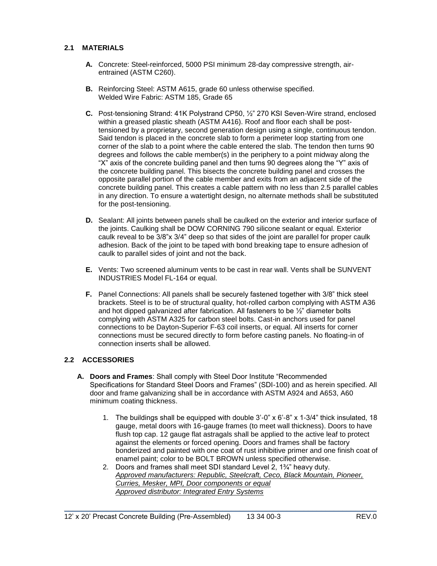# **2.1 MATERIALS**

- **A.** Concrete: Steel-reinforced, 5000 PSI minimum 28-day compressive strength, airentrained (ASTM C260).
- **B.** Reinforcing Steel: ASTM A615, grade 60 unless otherwise specified. Welded Wire Fabric: ASTM 185, Grade 65
- **C.** Post-tensioning Strand: 41K Polystrand CP50, ½" 270 KSI Seven-Wire strand, enclosed within a greased plastic sheath (ASTM A416). Roof and floor each shall be posttensioned by a proprietary, second generation design using a single, continuous tendon. Said tendon is placed in the concrete slab to form a perimeter loop starting from one corner of the slab to a point where the cable entered the slab. The tendon then turns 90 degrees and follows the cable member(s) in the periphery to a point midway along the "X" axis of the concrete building panel and then turns 90 degrees along the "Y" axis of the concrete building panel. This bisects the concrete building panel and crosses the opposite parallel portion of the cable member and exits from an adjacent side of the concrete building panel. This creates a cable pattern with no less than 2.5 parallel cables in any direction. To ensure a watertight design, no alternate methods shall be substituted for the post-tensioning.
- **D.** Sealant: All joints between panels shall be caulked on the exterior and interior surface of the joints. Caulking shall be DOW CORNING 790 silicone sealant or equal. Exterior caulk reveal to be 3/8"x 3/4" deep so that sides of the joint are parallel for proper caulk adhesion. Back of the joint to be taped with bond breaking tape to ensure adhesion of caulk to parallel sides of joint and not the back.
- **E.** Vents: Two screened aluminum vents to be cast in rear wall. Vents shall be SUNVENT INDUSTRIES Model FL-164 or equal.
- **F.** Panel Connections: All panels shall be securely fastened together with 3/8" thick steel brackets. Steel is to be of structural quality, hot-rolled carbon complying with ASTM A36 and hot dipped galvanized after fabrication. All fasteners to be ½" diameter bolts complying with ASTM A325 for carbon steel bolts. Cast-in anchors used for panel connections to be Dayton-Superior F-63 coil inserts, or equal. All inserts for corner connections must be secured directly to form before casting panels. No floating-in of connection inserts shall be allowed.

## **2.2 ACCESSORIES**

- **A. Doors and Frames**: Shall comply with Steel Door Institute "Recommended Specifications for Standard Steel Doors and Frames" (SDI-100) and as herein specified. All door and frame galvanizing shall be in accordance with ASTM A924 and A653, A60 minimum coating thickness.
	- 1. The buildings shall be equipped with double 3'-0" x 6'-8" x 1-3/4" thick insulated, 18 gauge, metal doors with 16-gauge frames (to meet wall thickness). Doors to have flush top cap. 12 gauge flat astragals shall be applied to the active leaf to protect against the elements or forced opening. Doors and frames shall be factory bonderized and painted with one coat of rust inhibitive primer and one finish coat of enamel paint; color to be BOLT BROWN unless specified otherwise.
	- 2. Doors and frames shall meet SDI standard Level 2, 1¾" heavy duty. *Approved manufacturers: Republic, Steelcraft, Ceco, Black Mountain, Pioneer, Curries, Mesker, MPI, Door components or equal Approved distributor: Integrated Entry Systems*

\_\_\_\_\_\_\_\_\_\_\_\_\_\_\_\_\_\_\_\_\_\_\_\_\_\_\_\_\_\_\_\_\_\_\_\_\_\_\_\_\_\_\_\_\_\_\_\_\_\_\_\_\_\_\_\_\_\_\_\_\_\_\_\_\_\_\_\_\_\_\_\_\_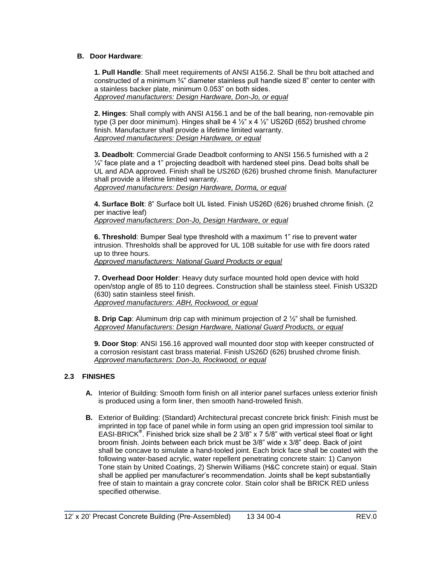### **B. Door Hardware**:

**1. Pull Handle**: Shall meet requirements of ANSI A156.2. Shall be thru bolt attached and constructed of a minimum ¾" diameter stainless pull handle sized 8" center to center with a stainless backer plate, minimum 0.053" on both sides. *Approved manufacturers: Design Hardware, Don-Jo, or equal*

**2. Hinges**: Shall comply with ANSI A156.1 and be of the ball bearing, non-removable pin type (3 per door minimum). Hinges shall be 4  $\frac{1}{2}$ " x 4  $\frac{1}{2}$ " US26D (652) brushed chrome finish. Manufacturer shall provide a lifetime limited warranty. *Approved manufacturers: Design Hardware, or equal*

**3. Deadbolt**: Commercial Grade Deadbolt conforming to ANSI 156.5 furnished with a 2  $\frac{1}{4}$ " face plate and a 1" projecting deadbolt with hardened steel pins. Dead bolts shall be UL and ADA approved. Finish shall be US26D (626) brushed chrome finish. Manufacturer shall provide a lifetime limited warranty.

*Approved manufacturers: Design Hardware, Dorma, or equal*

**4. Surface Bolt**: 8" Surface bolt UL listed. Finish US26D (626) brushed chrome finish. (2 per inactive leaf)

*Approved manufacturers: Don-Jo, Design Hardware, or equal*

**6. Threshold**: Bumper Seal type threshold with a maximum 1" rise to prevent water intrusion. Thresholds shall be approved for UL 10B suitable for use with fire doors rated up to three hours.

*Approved manufacturers: National Guard Products or equal* 

**7. Overhead Door Holder**: Heavy duty surface mounted hold open device with hold open/stop angle of 85 to 110 degrees. Construction shall be stainless steel. Finish US32D (630) satin stainless steel finish. *Approved manufacturers: ABH, Rockwood, or equal*

**8. Drip Cap**: Aluminum drip cap with minimum projection of 2 ½" shall be furnished. *Approved Manufacturers: Design Hardware, National Guard Products, or equal*

**9. Door Stop**: ANSI 156.16 approved wall mounted door stop with keeper constructed of a corrosion resistant cast brass material. Finish US26D (626) brushed chrome finish. *Approved manufacturers: Don-Jo, Rockwood, or equal*

## **2.3 FINISHES**

- **A.** Interior of Building: Smooth form finish on all interior panel surfaces unless exterior finish is produced using a form liner, then smooth hand-troweled finish.
- **B.** Exterior of Building: (Standard) Architectural precast concrete brick finish: Finish must be imprinted in top face of panel while in form using an open grid impression tool similar to EASI-BRICK**®** . Finished brick size shall be 2 3/8" x 7 5/8" with vertical steel float or light broom finish. Joints between each brick must be 3/8" wide x 3/8" deep. Back of joint shall be concave to simulate a hand-tooled joint. Each brick face shall be coated with the following water-based acrylic, water repellent penetrating concrete stain: 1) Canyon Tone stain by United Coatings, 2) Sherwin Williams (H&C concrete stain) or equal. Stain shall be applied per manufacturer's recommendation. Joints shall be kept substantially free of stain to maintain a gray concrete color. Stain color shall be BRICK RED unless specified otherwise.

\_\_\_\_\_\_\_\_\_\_\_\_\_\_\_\_\_\_\_\_\_\_\_\_\_\_\_\_\_\_\_\_\_\_\_\_\_\_\_\_\_\_\_\_\_\_\_\_\_\_\_\_\_\_\_\_\_\_\_\_\_\_\_\_\_\_\_\_\_\_\_\_\_